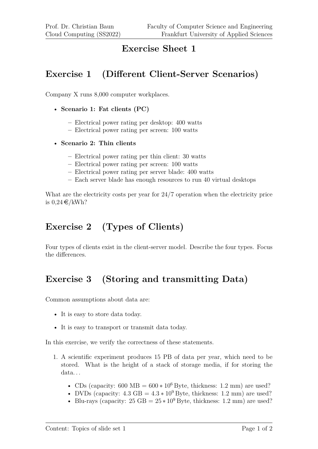### **Exercise Sheet 1**

# **Exercise 1 (Different Client-Server Scenarios)**

Company X runs 8,000 computer workplaces.

#### • **Scenario 1: Fat clients (PC)**

- **–** Electrical power rating per desktop: 400 watts
- **–** Electrical power rating per screen: 100 watts
- **Scenario 2: Thin clients**
	- **–** Electrical power rating per thin client: 30 watts
	- **–** Electrical power rating per screen: 100 watts
	- **–** Electrical power rating per server blade: 400 watts
	- **–** Each server blade has enough resources to run 40 virtual desktops

What are the electricity costs per year for 24/7 operation when the electricity price is  $0.24 \in /kWh?$ 

# **Exercise 2 (Types of Clients)**

Four types of clients exist in the client-server model. Describe the four types. Focus the differences.

# **Exercise 3 (Storing and transmitting Data)**

Common assumptions about data are:

- It is easy to store data today.
- It is easy to transport or transmit data today.

In this exercise, we verify the correctness of these statements.

- 1. A scientific experiment produces 15 PB of data per year, which need to be stored. What is the height of a stack of storage media, if for storing the data...
	- CDs (capacity:  $600 \text{ MB} = 600 * 10^6 \text{ Byte}, \text{ thickness: } 1.2 \text{ mm}$ ) are used?
	- DVDs (capacity:  $4.3 \text{ GB} = 4.3 * 10^9 \text{ B}$ yte, thickness: 1.2 mm) are used?
	- Blu-rays (capacity:  $25 \text{ GB} = 25 * 10^9 \text{ B}$ yte, thickness: 1.2 mm) are used?